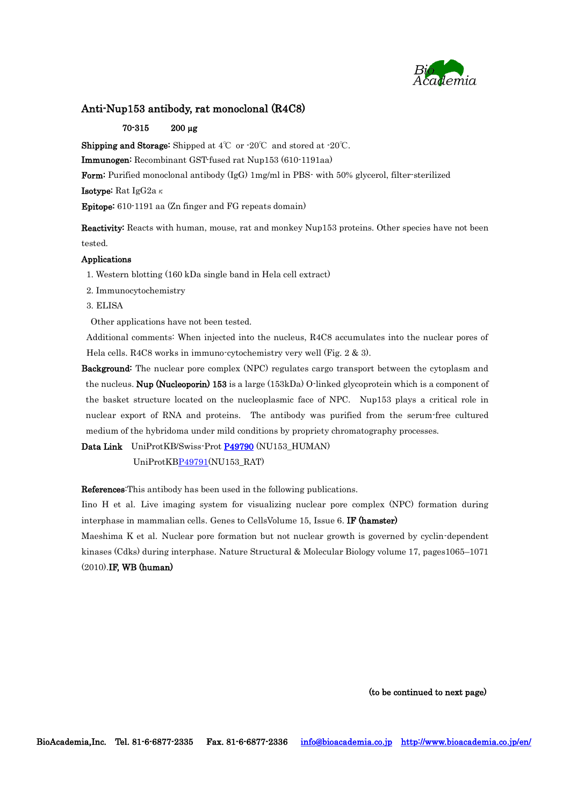

## Anti-Nup153 antibody, rat monoclonal (R4C8)

## 70-315 200 µg

**Shipping and Storage:** Shipped at  $4^{\circ}$ C or  $-20^{\circ}$ C and stored at  $-20^{\circ}$ C.

Immunogen: Recombinant GST-fused rat Nup153 (610-1191aa)

Form: Purified monoclonal antibody (IgG) 1mg/ml in PBS- with 50% glycerol, filter-sterilized

**Isotype:** Rat IgG2a $\kappa$ 

Epitope: 610-1191 aa (Zn finger and FG repeats domain)

Reactivity: Reacts with human, mouse, rat and monkey Nup153 proteins. Other species have not been tested.

## Applications

1. Western blotting (160 kDa single band in Hela cell extract)

- 2. Immunocytochemistry
- 3. ELISA

Other applications have not been tested.

Additional comments: When injected into the nucleus, R4C8 accumulates into the nuclear pores of Hela cells. R4C8 works in immuno-cytochemistry very well (Fig. 2 & 3).

Background: The nuclear pore complex (NPC) regulates cargo transport between the cytoplasm and the nucleus. **Nup (Nucleoporin) 153** is a large (153kDa) O-linked glycoprotein which is a component of the basket structure located on the nucleoplasmic face of NPC. Nup153 plays a critical role in nuclear export of RNA and proteins. The antibody was purified from the serum-free cultured medium of the hybridoma under mild conditions by propriety chromatography processes.

Data Link UniProtKB/Swiss-Prot [P49790](http://www.uniprot.org/uniprot/P49790) (NU153 HUMAN)

UniProtK[BP49791\(](https://www.uniprot.org/uniprot/P49791)NU153\_RAT)

References:This antibody has been used in the following publications.

Iino H et al. Live imaging system for visualizing nuclear pore complex (NPC) formation during interphase in mammalian cells. Genes to CellsVolume 15, Issue 6. IF (hamster)

Maeshima K et al. Nuclear pore formation but not nuclear growth is governed by cyclin-dependent kinases (Cdks) during interphase. Nature Structural & Molecular Biology volume 17, pages1065–1071 (2010).IF, WB (human)

(to be continued to next page)